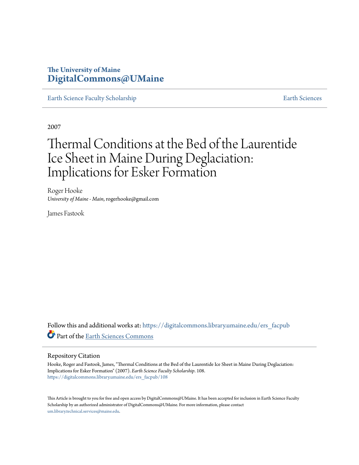## **The University of Maine [DigitalCommons@UMaine](https://digitalcommons.library.umaine.edu?utm_source=digitalcommons.library.umaine.edu%2Fers_facpub%2F108&utm_medium=PDF&utm_campaign=PDFCoverPages)**

[Earth Science Faculty Scholarship](https://digitalcommons.library.umaine.edu/ers_facpub?utm_source=digitalcommons.library.umaine.edu%2Fers_facpub%2F108&utm_medium=PDF&utm_campaign=PDFCoverPages) **[Earth Sciences](https://digitalcommons.library.umaine.edu/ers?utm_source=digitalcommons.library.umaine.edu%2Fers_facpub%2F108&utm_medium=PDF&utm_campaign=PDFCoverPages)** 

2007

# Thermal Conditions at the Bed of the Laurentide Ice Sheet in Maine During Deglaciation: Implications for Esker Formation

Roger Hooke *University of Maine - Main*, rogerhooke@gmail.com

James Fastook

Follow this and additional works at: [https://digitalcommons.library.umaine.edu/ers\\_facpub](https://digitalcommons.library.umaine.edu/ers_facpub?utm_source=digitalcommons.library.umaine.edu%2Fers_facpub%2F108&utm_medium=PDF&utm_campaign=PDFCoverPages) Part of the [Earth Sciences Commons](http://network.bepress.com/hgg/discipline/153?utm_source=digitalcommons.library.umaine.edu%2Fers_facpub%2F108&utm_medium=PDF&utm_campaign=PDFCoverPages)

#### Repository Citation

Hooke, Roger and Fastook, James, "Thermal Conditions at the Bed of the Laurentide Ice Sheet in Maine During Deglaciation: Implications for Esker Formation" (2007). *Earth Science Faculty Scholarship*. 108. [https://digitalcommons.library.umaine.edu/ers\\_facpub/108](https://digitalcommons.library.umaine.edu/ers_facpub/108?utm_source=digitalcommons.library.umaine.edu%2Fers_facpub%2F108&utm_medium=PDF&utm_campaign=PDFCoverPages)

This Article is brought to you for free and open access by DigitalCommons@UMaine. It has been accepted for inclusion in Earth Science Faculty Scholarship by an authorized administrator of DigitalCommons@UMaine. For more information, please contact [um.library.technical.services@maine.edu](mailto:um.library.technical.services@maine.edu).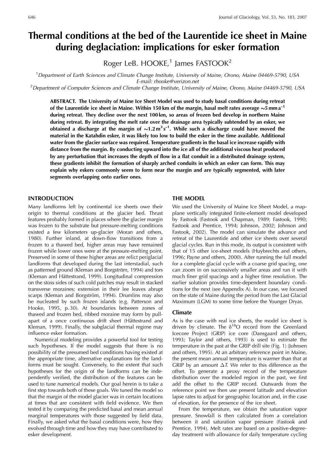# Thermal conditions at the bed of the Laurentide ice sheet in Maine during deglaciation: implications for esker formation

Roger LeB. HOOKE,<sup>1</sup> James FASTOOK<sup>2</sup>

<sup>1</sup>Department of Earth Sciences and Climate Change Institute, University of Maine, Orono, Maine 04469-5790, USA E-mail: rhooke@verizon.net

<sup>2</sup>Department of Computer Sciences and Climate Change Institute, University of Maine, Orono, Maine 04469-5790, USA

ABSTRACT. The University of Maine Ice Sheet Model was used to study basal conditions during retreat of the Laurentide ice sheet in Maine. Within 150 km of the margin, basal melt rates average  $\sim$ 5 mm a<sup>-1</sup> during retreat. They decline over the next 100 km, so areas of frozen bed develop in northern Maine during retreat. By integrating the melt rate over the drainage area typically subtended by an esker, we obtained a discharge at the margin of  $\sim 1.2 \text{ m}^3 \text{s}^{-1}$ . While such a discharge could have moved the material in the Katahdin esker, it was likely too low to build the esker in the time available. Additional water from the glacier surface was required. Temperature gradients in the basal ice increase rapidly with distance from the margin. By conducting upward into the ice all of the additional viscous heat produced by any perturbation that increases the depth of flow in a flat conduit in a distributed drainage system, these gradients inhibit the formation of sharply arched conduits in which an esker can form. This may explain why eskers commonly seem to form near the margin and are typically segmented, with later segments overlapping onto earlier ones.

#### **INTRODUCTION**

Many landforms left by continental ice sheets owe their origin to thermal conditions at the glacier bed. Thrust features probably formed in places where the glacier margin was frozen to the substrate but pressure-melting conditions existed a few kilometers up-glacier (Moran and others, 1980). Further inland, at down-flow transitions from a frozen to a thawed bed, higher areas may have remained frozen while lower ones were at the pressure-melting point. Preserved in some of these higher areas are relict periglacial landforms that developed during the last interstadial, such as patterned ground (Kleman and Borgström, 1994) and tors (Kleman and Hättestrand, 1999). Longitudinal compression on the stoss sides of such cold patches may result in stacked transverse moraines; extension in their lee leaves abrupt scarps (Kleman and Borgström, 1994). Drumlins may also be nucleated by such frozen islands (e.g. Patterson and Hooke, 1995, p.30). At boundaries between zones of thawed and frozen bed, ribbed moraine may form by pullapart of a once continuous drift sheet (Hättestrand and Kleman, 1999). Finally, the subglacial thermal regime may influence esker formation.

Numerical modeling provides a powerful tool for testing such hypotheses. If the model suggests that there is no possibility of the presumed bed conditions having existed at the appropriate time, alternative explanations for the landforms must be sought. Conversely, to the extent that such hypotheses for the origin of the landforms can be independently verified, the distribution of the features can be used to tune numerical models. Our goal herein is to take a first step towards both of these goals. We tuned the model so that the margin of the model glacier was in certain locations at times that are consistent with field evidence. We then tested it by comparing the predicted basal and mean annual marginal temperatures with those suggested by field data. Finally, we asked what the basal conditions were, how they evolved through time and how they may have contributed to esker development.

#### **THE MODEL**

We used the University of Maine Ice Sheet Model, a mapplane vertically integrated finite-element model developed by Fastook (Fastook and Chapman, 1989; Fastook, 1990; Fastook and Prentice, 1994; Johnson, 2002; Johnson and Fastook, 2002). The model can simulate the advance and retreat of the Laurentide and other ice sheets over several glacial cycles. Run in this mode, its output is consistent with that of 15 other ice-sheet models (Huybrechts and others, 1996; Payne and others, 2000). After running the full model for a complete glacial cycle with a coarse grid spacing, one can zoom in on successively smaller areas and run it with much finer grid spacings and a higher time resolution. The earlier solution provides time-dependent boundary conditions for the next (see Appendix A). In our case, we focused on the state of Maine during the period from the Last Glacial Maximum (LGM) to some time before the Younger Dryas.

#### **Climate**

As is the case with real ice sheets, the model ice sheet is driven by climate. The  $\delta^{18}O$  record from the Greenland Icecore Project (GRIP) ice core (Dansgaard and others, 1993; Taylor and others, 1993) is used to estimate the temperature in the past at the GRIP drill site (Fig. 1) (Johnsen and others, 1995). At an arbitrary reference point in Maine, the present mean annual temperature is warmer than that at GRIP by an amount  $\Delta T$ . We refer to this difference as the offset. To generate a proxy record of the temperature distribution over the modeled region in the past, we first add the offset to the GRIP record. Outwards from the reference point we then use present latitude and elevation lapse rates to adjust for geographic location and, in the case of elevation, for the presence of the ice sheet.

From the temperature, we obtain the saturation vapor pressure. Snowfall is then calculated from a correlation between it and saturation vapor pressure (Fastook and Prentice, 1994). Melt rates are based on a positive-degreeday treatment with allowance for daily temperature cycling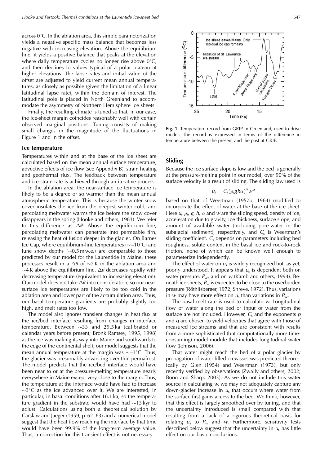across  $0^{\circ}$ C. In the ablation area, this simple parameterization yields a negative specific mass balance that becomes less negative with increasing elevation. Above the equilibrium line, it yields a positive balance that peaks at the elevation where daily temperature cycles no longer rise above  $0^{\circ}C$ , and then declines to values typical of a polar plateau at higher elevations. The lapse rates and initial value of the offset are adjusted to yield current mean annual temperatures, as closely as possible (given the limitation of a linear latitudinal lapse rate), within the domain of interest. The latitudinal pole is placed in North Greenland to accommodate the asymmetry of Northern Hemisphere ice sheets.

Finally, the resulting climate is tuned so that, in our case, the ice-sheet margin coincides reasonably well with certain observed marginal positions. Tuning consists of making small changes in the magnitude of the fluctuations in Figure 1 and in the offset.

#### Ice temperature

Temperatures within and at the base of the ice sheet are calculated based on the mean annual surface temperature, advective effects of ice flow (see Appendix B), strain heating and geothermal flux. The feedback between temperature and ice strain rate is achieved through an iterative process.

In the ablation area, the near-surface ice temperature is likely to be a degree or so warmer than the mean annual atmospheric temperature. This is because the winter snow cover insulates the ice from the deepest winter cold, and percolating meltwater warms the ice before the snow cover disappears in the spring (Hooke and others, 1983). We refer to this difference as  $\Delta\theta$ . Above the equilibrium line, percolating meltwater can penetrate into permeable firn, releasing the heat of fusion deeper in the glacier. On Barnes Ice Cap, where equilibrium-line temperatures ( $\sim$  –10 $^{\circ}$ C) and June snow depths  $(\sim 0.5 \text{ m} \text{ w.e.})$  are comparable to those predicted by our model for the Laurentide in Maine, these processes result in a  $\Delta\theta$  of  $\sim$ 2K in the ablation area and  $\sim$ 4K above the equilibrium line.  $\Delta\theta$  decreases rapidly with decreasing temperature (equivalent to increasing elevation). Our model does not take  $\Delta\theta$  into consideration, so our nearsurface ice temperatures are likely to be too cold in the ablation area and lower part of the accumulation area. Thus, our basal temperature gradients are probably slightly too high, and melt rates too low.

The model also ignores transient changes in heat flux at the ice/bed interface resulting from changes in interface temperature. Between  $\sim$ 33 and 29.5 ka (calibrated or calendar years before present; Bronk Ramsey, 1995, 1998) as the ice was making its way into Maine and southwards to the edge of the continental shelf, our model suggests that the mean annual temperature at the margin was  $\sim -3$ °C. Thus, the glacier was presumably advancing over thin permafrost. The model predicts that the ice/bed interface would have been near to or at the pressure-melting temperature nearly everywhere in Maine except very close to the margin. Thus, the temperature at the interface would have had to increase  $\sim$ 3°C as the ice advanced over it. We are interested, in particular, in basal conditions after 16.1 ka, so the temperature gradient in the substrate would have had  $\sim$ 13 kyr to adjust. Calculations using both a theoretical solution by Carslaw and Jaeger (1959, p. 62-63) and a numerical model suggest that the heat flow reaching the interface by that time would have been 99.9% of the long-term average value. Thus, a correction for this transient effect is not necessary.



Fig. 1. Temperature record from GRIP in Greenland, used to drive model. The record is expressed in terms of the difference in temperature between the present and the past at GRIP.

#### Sliding

Because the ice surface slope is low and the bed is generally at the pressure-melting point in our model, over 90% of the surface velocity is a result of sliding. The sliding law used is

$$
u_{s}=C_{s}(\rho_{i}gh\alpha)^{p}w^{q}
$$

based on that of Weertman (1957b, 1964) modified to incorporate the effect of water at the base of the ice sheet. Here  $u_s \rho_i$ ,  $g_i h$ ,  $\alpha$  and w are the sliding speed, density of ice, acceleration due to gravity, ice thickness, surface slope, and amount of available water (including pore-water in the subglacial sediment), respectively, and  $C_s$  is Weertman's sliding coefficient.  $C_s$  depends on parameters including bed roughness, solute content in the basal ice and rock-to-rock friction, none of which can be known well enough to parameterize independently.

The effect of water on  $u_s$  is widely recognized but, as yet, poorly understood. It appears that  $u_s$  is dependent both on water pressure,  $P_{\rm w}$ , and on w (Kamb and others, 1994). Beneath ice sheets,  $P_w$  is expected to be close to the overburden pressure (Röthlisberger, 1972; Shreve, 1972). Thus, variations in w may have more effect on  $u_s$  than variations in  $P_w$ .

The basal melt rate is used to calculate w. Longitudinal flow of water along the bed or input of water from the surface are not included. However,  $C_s$  and the exponents  $p$ and  $q$  are chosen to yield velocities that agree with those of measured ice streams and that are consistent with results from a more sophisticated (but computationally more timeconsuming) model module that includes longitudinal water flow (Johnson, 2006).

That water might reach the bed of a polar glacier by propagation of water-filled crevasses was predicted theoretically by Glen (1954) and Weertman (1973), but only recently verified by observations (Zwally and others, 2002; Boon and Sharp, 2003). As we do not include this water source in calculating w, we may not adequately capture any down-glacier increase in  $u_s$  that occurs where water from the surface first gains access to the bed. We think, however, that this effect is largely smoothed over by tuning, and that the uncertainty introduced is small compared with that resulting from a lack of a rigorous theoretical basis for relating  $u_s$  to  $P_w$  and w. Furthermore, sensitivity tests described below suggest that the uncertainty in  $u<sub>s</sub>$  has little effect on our basic conclusions.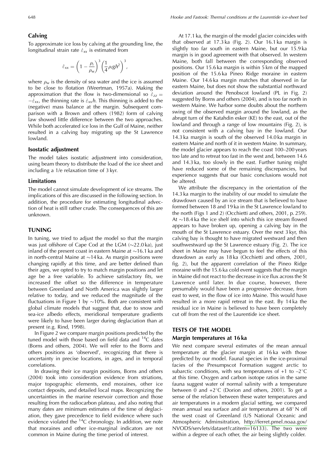#### Calving

To approximate ice loss by calving at the grounding line, the longitudinal strain rate  $\dot{\varepsilon}_{xx}$  is estimated from

$$
\dot{\varepsilon}_{xx} = \left(1 - \frac{\rho_i}{\rho_w}\right)^3 \left(\frac{1}{4}\rho_i g h^2\right)^3
$$

where  $\rho_w$  is the density of sea water and the ice is assumed to be close to flotation (Weertman, 1957a). Making the approximation that the flow is two-dimensional so  $\dot{\varepsilon}_{zz}$  =  $-\dot{\varepsilon}_{xx}$ , the thinning rate is  $\dot{\varepsilon}_{xx}$ *h*. This thinning is added to the (negative) mass balance at the margin. Subsequent comparison with a Brown and others (1982) form of calving law showed little difference between the two approaches. While both accelerated ice loss in the Gulf of Maine, neither resulted in a calving bay migrating up the St Lawrence lowland.

#### Isostatic adjustment

The model takes isostatic adjustment into consideration, using beam theory to distribute the load of the ice sheet and including a 1/e relaxation time of 3 kyr.

#### **Limitations**

The model cannot simulate development of ice streams. The implications of this are discussed in the following section. In addition, the procedure for estimating longitudinal advection of heat is still rather crude. The consequences of this are unknown.

#### **TUNING**

In tuning, we tried to adjust the model so that the margin was just offshore of Cape Cod at the LGM  $(\sim 22.0 \text{ ka})$ , just inland of the present coast in eastern Maine at  $\sim$ 16.1 ka and in north-central Maine at  $\sim$ 14 ka. As margin positions were changing rapidly at this time, and are better defined than their ages, we opted to try to match margin positions and let age be a free variable. To achieve satisfactory fits, we increased the offset so the difference in temperature between Greenland and North America was slightly larger relative to today, and we reduced the magnitude of the fluctuations in Figure 1 by  $\sim$ 10%. Both are consistent with global climate models that suggest that, due to snow and sea-ice albedo effects, meridional temperature gradients were likely to have been larger during deglaciation than at present (e.g. Rind, 1998).

In Figure 2 we compare margin positions predicted by the tuned model with those based on field data and <sup>14</sup>C dates (Borns and others, 2004). We will refer to the Borns and others positions as 'observed', recognizing that there is uncertainty in precise locations, in ages, and in temporal correlations.

In drawing their ice margin positions, Borns and others (2004) took into consideration evidence from striations, major topographic elements, end moraines, other ice contact deposits, and detailed local maps. Recognizing the uncertainties in the marine reservoir correction and those resulting from the radiocarbon plateau, and also noting that many dates are minimum estimates of the time of deglaciation, they gave precedence to field evidence where such evidence violated the  ${}^{14}C$  chronology. In addition, we note that moraines and other ice-marginal indicators are not common in Maine during the time period of interest.

At 17.1 ka, the margin of the model glacier coincides with that observed at 17.3 ka (Fig. 2). Our 16.1 ka margin is slightly too far south in eastern Maine, but our 15.9 ka margin is in good agreement with that observed. In western Maine, both fall between the corresponding observed positions. Our 15.6 ka margin is within 5 km of the mapped position of the 15.6 ka Pineo Ridge moraine in eastern Maine. Our 14.6 ka margin matches that observed in far eastern Maine, but does not show the substantial northward deviation around the Penobscot lowland (PL in Fig. 2) suggested by Borns and others (2004), and is too far north in western Maine. We harbor some doubts about the northern swing of the observed margin around the lowland, as the abrupt turn of the Katahdin esker (KE) to the east, out of the lowland and through a range of low mountains (Fig. 2), is not consistent with a calving bay in the lowland. Our 14.3 ka margin is south of the observed 14.0 ka margin in eastern Maine and north of it in western Maine. In summary, the model glacier appears to reach the coast 100-200 years too late and to retreat too fast in the west and, between 14.6 and 14.3 ka, too slowly in the east. Further tuning might have reduced some of the remaining discrepancies, but experience suggests that our basic conclusions would not be altered.

We attribute the discrepancy in the orientation of the 14.3 ka margin to the inability of our model to simulate the drawdown caused by an ice stream that is believed to have formed between 18 and 19 ka in the St Lawrence lowland to the north (Figs 1 and 2) (Occhietti and others, 2001, p. 259). At  $\sim$ 18.4 ka the ice shelf into which this ice stream flowed appears to have broken up, opening a calving bay in the mouth of the St Lawrence estuary. Over the next 3 kyr, this calving bay is thought to have migrated westward and then southwestward up the St Lawrence estuary (Fig. 2). The ice sheet in Maine may have begun to feel the effects of this drawdown as early as 18 ka (Occhietti and others, 2001, fig. 2), but the apparent correlation of the Pineo Ridge moraine with the 15.6 ka cold event suggests that the margin in Maine did not react to the decrease in ice flux across the St Lawrence until later. In due course, however, there presumably would have been a progressive decrease, from east to west, in the flow of ice into Maine. This would have resulted in a more rapid retreat in the east. By 14 ka the residual ice in Maine is believed to have been completely cut off from the rest of the Laurentide ice sheet.

#### **TESTS OF THE MODEL**

#### Margin temperatures at 16 ka

We next compare several estimates of the mean annual temperature at the glacier margin at 16 ka with those predicted by our model. Faunal species in the ice-proximal facies of the Presumpscot Formation suggest arctic to subarctic conditions, with sea temperatures of +1 to  $-2^{\circ}$ C at this time. Oxygen and carbon isotope ratios in the same fauna suggest water of normal salinity with a temperature between 0 and  $+2^{\circ}$ C (Dorion and others, 2001). To get a sense of the relation between these water temperatures and air temperatures in a modern glacial setting, we compared mean annual sea surface and air temperatures at 68°N off the west coast of Greenland (US National Oceanic and Atmospheric Adminsitration, http://ferret.pmel.noaa.gov/ NVODS/servlets/dataset?catitem=16133). The two were within a degree of each other, the air being slightly colder.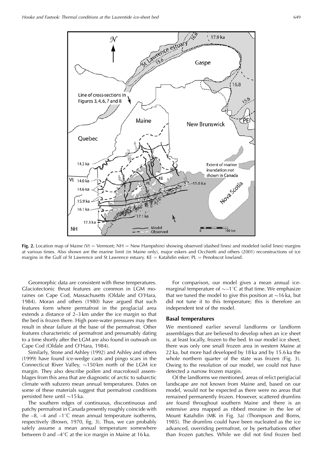

Fig. 2. Location map of Maine (Vt = Vermont; NH = New Hampshire) showing observed (dashed lines) and modeled (solid lines) margins at various times. Also shown are the marine limit (in Maine only), major eskers and Occhietti and others (2001) reconstructions of ice margins in the Gulf of St Lawrence and St Lawrence estuary.  $KE = Katalin$  ester;  $PL = Penobscot$  lowland.

Geomorphic data are consistent with these temperatures. Glaciotectonic thrust features are common in LGM moraines on Cape Cod, Massachusetts (Oldale and O'Hara, 1984). Moran and others (1980) have argued that such features form where permafrost in the proglacial area extends a distance of  $2-3$  km under the ice margin so that the bed is frozen there. High pore-water pressures may then result in shear failure at the base of the permafrost. Other features characteristic of permafrost and presumably dating to a time shortly after the LGM are also found in outwash on Cape Cod (Oldale and O'Hara, 1984).

Similarly, Stone and Ashley (1992) and Ashley and others (1999) have found ice-wedge casts and pingo scars in the Connecticut River Valley,  $\sim$ 150 km north of the LGM ice margin. They also describe pollen and macrofossil assemblages from this area that are diagnostic of arctic to subarctic climate with subzero mean annual temperatures. Dates on some of these materials suggest that permafrost conditions persisted here until  $\sim$ 15 ka.

The southern edges of continuous, discontinuous and patchy permafrost in Canada presently roughly coincide with the  $-8$ ,  $-4$  and  $-1$ °C mean annual temperature isotherms, respectively (Brown, 1970, fig. 3). Thus, we can probably safely assume a mean annual temperature somewhere between 0 and  $-4^{\circ}$ C at the ice margin in Maine at 16 ka.

For comparison, our model gives a mean annual icemarginal temperature of  $\sim -1$  °C at that time. We emphasize that we tuned the model to give this position at  $\sim$ 16 ka, but did not tune it to this temperature; this is therefore an independent test of the model.

#### **Basal temperatures**

We mentioned earlier several landforms or landform assemblages that are believed to develop when an ice sheet is, at least locally, frozen to the bed. In our model ice sheet, there was only one small frozen area in western Maine at 22 ka, but more had developed by 18 ka and by 15.6 ka the whole northern quarter of the state was frozen (Fig. 3). Owing to the resolution of our model, we could not have detected a narrow frozen margin.

Of the landforms we mentioned, areas of relict periglacial landscape are not known from Maine and, based on our model, would not be expected as there were no areas that remained permanently frozen. However, scattered drumlins are found throughout southern Maine and there is an extensive area mapped as ribbed moraine in the lee of Mount Katahdin (MK in Fig. 3a) (Thompson and Borns, 1985). The drumlins could have been nucleated as the ice advanced, overriding permafrost, or by perturbations other than frozen patches. While we did not find frozen bed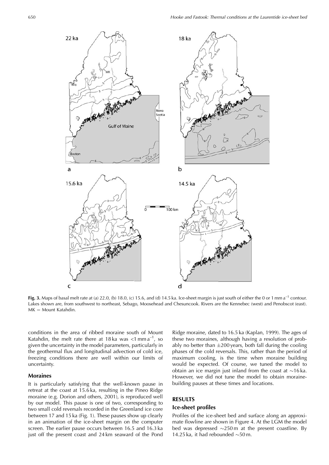

Fig. 3. Maps of basal melt rate at (a) 22.0, (b) 18.0, (c) 15.6, and (d) 14.5 ka. Ice-sheet margin is just south of either the 0 or 1 mm  $a^{-1}$  contour. Lakes shown are, from southwest to northeast, Sebago, Moosehead and Chesuncook. Rivers are the Kennebec (west) and Penobscot (east).  $MK = Mount Katahdin$ .

conditions in the area of ribbed moraine south of Mount Katahdin, the melt rate there at 18 ka was <1 mm  $a^{-1}$ , so given the uncertainty in the model parameters, particularly in the geothermal flux and longitudinal advection of cold ice, freezing conditions there are well within our limits of uncertainty.

#### **Moraines**

It is particularly satisfying that the well-known pause in retreat at the coast at 15.6 ka, resulting in the Pineo Ridge moraine (e.g. Dorion and others, 2001), is reproduced well by our model. This pause is one of two, corresponding to two small cold reversals recorded in the Greenland ice core between 17 and 15 ka (Fig. 1). These pauses show up clearly in an animation of the ice-sheet margin on the computer screen. The earlier pause occurs between 16.5 and 16.3 ka just off the present coast and 24 km seaward of the Pond

Ridge moraine, dated to 16.5 ka (Kaplan, 1999). The ages of these two moraines, although having a resolution of probably no better than  $\pm 200$  years, both fall during the cooling phases of the cold reversals. This, rather than the period of maximum cooling, is the time when moraine building would be expected. Of course, we tuned the model to obtain an ice margin just inland from the coast at  $\sim$ 16 ka. However, we did not tune the model to obtain morainebuilding pauses at these times and locations.

### **RESULTS**

#### Ice-sheet profiles

Profiles of the ice-sheet bed and surface along an approximate flowline are shown in Figure 4. At the LGM the model bed was depressed  $\sim$ 250 m at the present coastline. By 14.25 ka, it had rebounded  $\sim$ 50 m.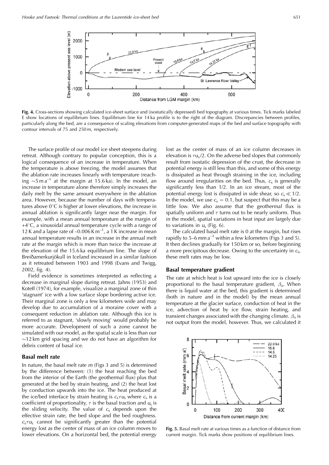

Fig. 4. Cross-sections showing calculated ice-sheet surface and (isostatically depressed) bed topography at various times. Tick marks labeled E show locations of equilibrium lines. Equilibrium line for 14ka profile is to the right of the diagram. Discrepancies between profiles, particularly along the bed, are a consequence of scaling elevations from computer-generated maps of the bed and surface topography with contour intervals of 75 and 250 m, respectively.

The surface profile of our model ice sheet steepens during retreat. Although contrary to popular conception, this is a logical consequence of an increase in temperature. When the temperature is above freezing, the model assumes that the ablation rate increases linearly with temperature (reaching  $\sim$ 5 m a<sup>-1</sup> at the margin at 15.6 ka). In the model, an increase in temperature alone therefore simply increases the daily melt by the same amount everywhere in the ablation area. However, because the number of days with temperatures above  $0^{\circ}$ C is higher at lower elevations, the increase in annual ablation is significantly larger near the margin. For example, with a mean annual temperature at the margin of  $+4^{\circ}$ C, a sinusoidal annual temperature cycle with a range of 12 K and a lapse rate of  $-0.006$  K m<sup>-1</sup>, a 1 K increase in mean annual temperature results in an increase in the annual melt rate at the margin which is more than twice the increase at the elevation of the 15.6 ka equilibrium line. The slope of Breiðamerkurjökull in Iceland increased in a similar fashion as it retreated between 1903 and 1998 (Evans and Twigg,  $2002$ , fig. 4).

Field evidence is sometimes interpreted as reflecting a decrease in marginal slope during retreat. Jahns (1953) and Koteff (1974), for example, visualize a marginal zone of thin 'stagnant' ice with a low surface slope bordering active ice. Their marginal zone is only a few kilometers wide and may develop due to accumulation of a moraine cover with a consequent reduction in ablation rate. Although this ice is referred to as stagnant, 'slowly moving' would probably be more accurate. Development of such a zone cannot be simulated with our model, as the spatial scale is less than our  $\sim$ 12 km grid spacing and we do not have an algorithm for debris content of basal ice.

#### **Basal melt rate**

In nature, the basal melt rate  $m$  (Figs 3 and 5) is determined by the difference between: (1) the heat reaching the bed from the interior of the Earth (the geothermal flux) plus that generated at the bed by strain heating, and (2) the heat lost by conduction upwards into the ice. The heat produced at the ice/bed interface by strain heating is  $c_s \tau u_s$  where  $c_s$  is a coefficient of proportionality,  $\tau$  is the basal traction and  $u_s$  is the sliding velocity. The value of  $c_s$  depends upon the effective strain rate, the bed slope and the bed roughness.  $c_s \tau u_s$  cannot be significantly greater than the potential energy lost as the center of mass of an ice column moves to lower elevations. On a horizontal bed, the potential energy

lost as the center of mass of an ice column decreases in elevation is  $\tau u_s/2$ . On the adverse bed slopes that commonly result from isostatic depression of the crust, the decrease in potential energy is still less than this, and some of this energy is dissipated as heat through straining in the ice, including flow around irregularities on the bed. Thus,  $c<sub>s</sub>$  is generally significantly less than 1/2. In an ice stream, most of the potential energy lost is dissipated in side shear, so  $c_s \ll 1/2$ . In the model, we use  $c_s = 0.1$ , but suspect that this may be a little low. We also assume that the geothermal flux is spatially uniform and  $\tau$  turns out to be nearly uniform. Thus in the model, spatial variations in heat input are largely due to variations in  $u_s$  (Fig. 6).

The calculated basal melt rate is 0 at the margin, but rises rapidly to 5–6 mm  $a^{-1}$  within a few kilometers (Figs 3 and 5). It then declines gradually for 150 km or so, before beginning a more precipitous decrease. Owing to the uncertainty in  $c_{s}$ , these melt rates may be low.

#### **Basal temperature gradient**

The rate at which heat is lost upward into the ice is closely proportional to the basal temperature gradient,  $\beta_{0}$ . When there is liquid water at the bed, this gradient is determined (both in nature and in the model) by the mean annual temperature at the glacier surface, conduction of heat in the ice, advection of heat by ice flow, strain heating, and transient changes associated with the changing climate.  $\beta_0$  is not output from the model, however. Thus, we calculated it



Fig. 5. Basal melt rate at various times as a function of distance from current margin. Tick marks show positions of equilibrium lines.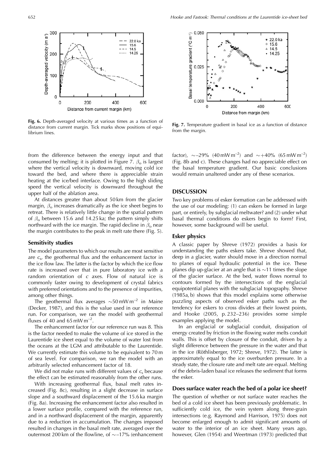

Fig. 6. Depth-averaged velocity at various times as a function of distance from current margin. Tick marks show positions of equilibrium lines.

from the difference between the energy input and that consumed by melting; it is plotted in Figure 7.  $\beta_0$  is largest where the vertical velocity is downward, moving cold ice toward the bed, and where there is appreciable strain heating at the ice/bed interface. Owing to the high sliding speed the vertical velocity is downward throughout the upper half of the ablation area.

At distances greater than about 50 km from the glacier margin,  $\beta_0$  increases dramatically as the ice sheet begins to retreat. There is relatively little change in the spatial pattern of  $\beta$ <sub>o</sub> between 15.6 and 14.25 ka; the pattern simply shifts northward with the ice margin. The rapid decline in  $\beta_0$  near the margin contributes to the peak in melt rate there (Fig. 5).

#### **Sensitivity studies**

The model parameters to which our results are most sensitive are  $c_{s}$ , the geothermal flux and the enhancement factor in the ice flow law. The latter is the factor by which the ice flow rate is increased over that in pure laboratory ice with a random orientation of  $c$  axes. Flow of natural ice is commonly faster owing to development of crystal fabrics with preferred orientations and to the presence of impurities, among other things.

The geothermal flux averages  $\sim$ 50 mW m<sup>-2</sup> in Maine (Decker, 1987), and this is the value used in our reference run. For comparison, we ran the model with geothermal fluxes of 40 and 65 mW  $\text{m}^{-2}$ .

The enhancement factor for our reference run was 8. This is the factor needed to make the volume of ice stored in the Laurentide ice sheet equal to the volume of water lost from the oceans at the LGM and attributable to the Laurentide. We currently estimate this volume to be equivalent to 70 m of sea level. For comparison, we ran the model with an arbitrarily selected enhancement factor of 18.

We did not make runs with different values of  $c<sub>s</sub>$  because the effect can be estimated reasonably from the other runs.

With increasing geothermal flux, basal melt rates increased (Fig. 8c), resulting in a slight decrease in surface slope and a southward displacement of the 15.6 ka margin (Fig. 8a). Increasing the enhancement factor also resulted in a lower surface profile, compared with the reference run, and in a northward displacement of the margin, apparently due to a reduction in accumulation. The changes imposed resulted in changes in the basal melt rate, averaged over the outermost 200 km of the flowline, of  $\sim$  -17% (enhancement



Fig. 7. Temperature gradient in basal ice as a function of distance from the margin.

factor),  $\sim$  -29% (40 mW m<sup>-2</sup>) and  $\sim$  +40% (65 mW m<sup>-2</sup>) (Fig. 8b and c). These changes had no appreciable effect on the basal temperature gradient. Our basic conclusions would remain unaltered under any of these scenarios.

#### **DISCUSSION**

Two key problems of esker formation can be addressed with the use of our modeling: (1) can eskers be formed in large part, or entirely, by subglacial meltwater? and (2) under what basal thermal conditions do eskers begin to form? First, however, some background will be useful.

#### **Esker physics**

A classic paper by Shreve (1972) provides a basis for understanding the paths eskers take. Shreve showed that, deep in a glacier, water should move in a direction normal to planes of equal hydraulic potential in the ice. These planes dip up-glacier at an angle that is  $\sim$ 11 times the slope of the glacier surface. At the bed, water flows normal to contours formed by the intersections of the englacial equipotential planes with the subglacial topography. Shreve (1985a, b) shows that this model explains some otherwise puzzling aspects of observed esker paths such as the tendency for eskers to cross divides at their lowest points, and Hooke (2005, p.232-236) provides some simple examples applying the model.

In an englacial or subglacial conduit, dissipation of energy created by friction in the flowing water melts conduit walls. This is offset by closure of the conduit, driven by a slight difference between the pressure in the water and that in the ice (Röthlisberger, 1972; Shreve, 1972). The latter is approximately equal to the ice overburden pressure. In a steady state, the closure rate and melt rate are equal. Melting of the debris-laden basal ice releases the sediment that forms the esker.

#### Does surface water reach the bed of a polar ice sheet?

The question of whether or not surface water reaches the bed of a cold ice sheet has been previously problematic. In sufficiently cold ice, the vein system along three-grain intersections (e.g. Raymond and Harrison, 1975) does not become enlarged enough to admit significant amounts of water to the interior of an ice sheet. Many years ago, however, Glen (1954) and Weertman (1973) predicted that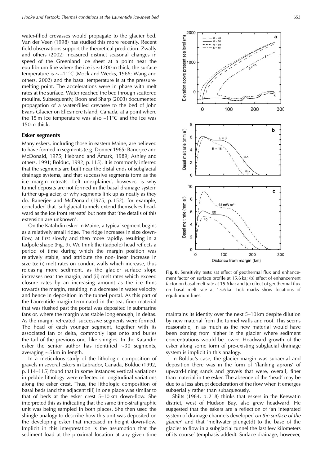water-filled crevasses would propagate to the glacier bed. Van der Veen (1998) has studied this more recently. Recent field observations support the theoretical prediction. Zwally and others (2002) measured distinct seasonal changes in speed of the Greenland ice sheet at a point near the equilibrium line where the ice is  $\sim$ 1200 m thick, the surface temperature is  $\sim$  –11<sup>o</sup>C (Mock and Weeks, 1966; Wang and others, 2002) and the basal temperature is at the pressuremelting point. The accelerations were in phase with melt rates at the surface. Water reached the bed through scattered moulins. Subsequently, Boon and Sharp (2003) documented propagation of a water-filled crevasse to the bed of John Evans Glacier on Ellesmere Island, Canada, at a point where the 15 m ice temperature was also  $-11^{\circ}$ C and the ice was 150 m thick.

#### **Esker segments**

Many eskers, including those in eastern Maine, are believed to have formed in segments (e.g. Donner 1965; Banerjee and McDonald, 1975; Hebrand and Amark, 1989; Ashley and others, 1991; Bolduc, 1992, p. 115). It is commonly inferred that the segments are built near the distal ends of subglacial drainage systems, and that successive segments form as the ice margin retreats. Left unexplained, however, is why tunnel deposits are not formed in the basal drainage system further up-glacier, or why segments link up as neatly as they do. Banerjee and McDonald (1975, p. 152), for example, concluded that 'subglacial tunnels extend themselves headward as the ice front retreats' but note that 'the details of this extension are unknown'.

On the Katahdin esker in Maine, a typical segment begins as a relatively small ridge. The ridge increases in size downflow, at first slowly and then more rapidly, resulting in a tadpole shape (Fig. 9). We think the (tadpole) head reflects a period of time during which the margin position was relatively stable, and attribute the non-linear increase in size to: (i) melt rates on conduit walls which increase, thus releasing more sediment, as the glacier surface slope increases near the margin, and (ii) melt rates which exceed closure rates by an increasing amount as the ice thins towards the margin, resulting in a decrease in water velocity and hence in deposition in the tunnel portal. As this part of the Laurentide margin terminated in the sea, finer material that was flushed past the portal was deposited in submarine fans or, where the margin was stable long enough, in deltas. As the margin retreated, successive segments were formed. The head of each younger segment, together with its associated fan or delta, commonly laps onto and buries the tail of the previous one, like shingles. In the Katahdin esker the senior author has identified  $\sim$ 30 segments, averaging  $\sim$ 5 km in length.

In a meticulous study of the lithologic composition of gravels in several eskers in Labrador, Canada, Bolduc (1992, p. 114-115) found that in some instances vertical variations in pebble lithology were reflected in longitudinal variations along the esker crest. Thus, the lithologic composition of basal beds (and the adjacent till) in one place was similar to that of beds at the esker crest 5-10km down-flow. She interpreted this as indicating that the same time-stratigraphic unit was being sampled in both places. She then used the shingle analogy to describe how this unit was deposited on the developing esker that increased in height down-flow. Implicit in this interpretation is the assumption that the sediment load at the proximal location at any given time



Fig. 8. Sensitivity tests: (a) effect of geothermal flux and enhancement factor on surface profile at 15.6 ka; (b) effect of enhancement factor on basal melt rate at 15.6 ka; and (c) effect of geothermal flux on basal melt rate at 15.6 ka. Tick marks show locations of equilibrium lines.

maintains its identity over the next 5-10 km despite dilution by new material from the tunnel walls and roof. This seems reasonable, in as much as the new material would have been coming from higher in the glacier where sediment concentrations would be lower. Headward growth of the esker along some form of pre-existing subglacial drainage system is implicit in this analogy.

In Bolduc's case, the glacier margin was subaerial and deposition there was in the form of 'flanking aprons' of upward-fining sands and gravels that were, overall, finer than material in the esker. The absence of the 'head' may be due to a less abrupt deceleration of the flow when it emerges subaerially rather than subaqueously.

Shilts (1984, p. 218) thinks that eskers in the Keewatin district, west of Hudson Bay, also grew headward. He suggested that the eskers are a reflection of 'an integrated system of drainage channels developed on the surface of the glacier' and that 'meltwater plunge[d] to the base of the glacier to flow in a subglacial tunnel the last few kilometers of its course' (emphasis added). Surface drainage, however,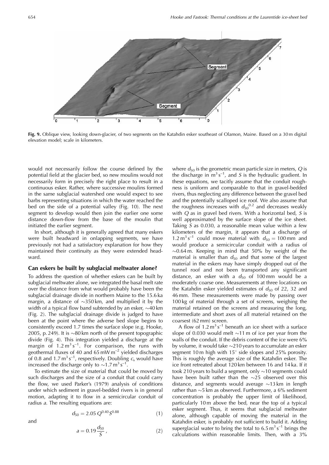

Fig. 9. Oblique view, looking down-glacier, of two segments on the Katahdin esker southeast of Olamon, Maine. Based on a 30 m digital elevation model; scale in kilometers.

would not necessarily follow the course defined by the potential field at the glacier bed, so new moulins would not necessarily form in precisely the right place to result in a continuous esker. Rather, where successive moulins formed in the same subglacial watershed one would expect to see barbs representing situations in which the water reached the bed on the side of a potential valley (Fig. 10). The next segment to develop would then join the earlier one some distance down-flow from the base of the moulin that initiated the earlier segment.

In short, although it is generally agreed that many eskers were built headward in onlapping segments, we have previously not had a satisfactory explanation for how they maintained their continuity as they were extended headward.

#### Can eskers be built by subglacial meltwater alone?

To address the question of whether eskers can be built by subglacial meltwater alone, we integrated the basal melt rate over the distance from what would probably have been the subglacial drainage divide in northern Maine to the 15.6 ka margin, a distance of  $\sim$ 350 km, and multiplied it by the width of a typical flow band subtended by an esker,  $\sim$ 40 km (Fig. 2). The subglacial drainage divide is judged to have been at the point where the adverse bed slope begins to consistently exceed 1.7 times the surface slope (e.g. Hooke, 2005, p. 249). It is  $\sim 80$  km north of the present topographic divide (Fig. 4). This integration yielded a discharge at the margin of  $1.2 \text{ m}^3 \text{ s}^{-1}$ . For comparison, the runs with geothermal fluxes of 40 and 65 mW  $m^{-2}$  yielded discharges of 0.8 and 1.7  $m^3 s^{-1}$ , respectively. Doubling  $c_s$  would have increased the discharge only to  $\sim$ 1.7 m<sup>3</sup> s<sup>-1</sup>.

To estimate the size of material that could be moved by such discharges and the size of a conduit that could carry the flow, we used Parker's (1979) analysis of conditions under which sediment in gravel-bedded rivers is in general motion, adapting it to flow in a semicircular conduit of radius a. The resulting equations are:

and

$$
d_{50} = 2.05 Q^{0.40} S^{0.88} \tag{1}
$$

$$
a = 0.19 \frac{d_{50}}{S} \,, \tag{2}
$$

where  $d_{50}$  is the geometric mean particle size in meters,  $Q$  is the discharge in  $m^3 s^{-1}$ , and S is the hydraulic gradient. In these equations, we tacitly assume that the conduit roughness is uniform and comparable to that in gravel-bedded rivers, thus neglecting any difference between the gravel bed and the potentially scalloped ice roof. We also assume that the roughness increases with  $d_{50}^{0.2}$  and decreases weakly with  $Q$  as in gravel bed rivers. With a horizontal bed,  $S$  is well approximated by the surface slope of the ice sheet. Taking  $S$  as 0.030, a reasonable mean value within a few kilometers of the margin, it appears that a discharge of 1.2 m<sup>3</sup> s<sup>-1</sup> could move material with  $d_{50} = 100$  mm and would produce a semicircular conduit with a radius of  $\sim$ 0.64 m. Keeping in mind that 50% by weight of the material is smaller than  $d_{50}$  and that some of the largest material in the eskers may have simply dropped out of the tunnel roof and not been transported any significant distance, an esker with a  $d_{50}$  of 100 mm would be a moderately coarse one. Measurements at three locations on the Katahdin esker yielded estimates of  $d_{50}$  of 22, 32 and 46 mm. These measurements were made by passing over 100 kg of material through a set of screens, weighing the material retained on the screens and measuring the long, intermediate and short axes of all material retained on the coarsest (62 mm) screen.

A flow of  $1.2 \text{ m}^3 \text{ s}^{-1}$  beneath an ice sheet with a surface slope of 0.030 would melt  $\sim$ 11 m of ice per year from the walls of the conduit. If the debris content of the ice were 6% by volume, it would take  $\sim$ 210 years to accumulate an esker segment 10 m high with 15° side slopes and 25% porosity. This is roughly the average size of the Katahdin esker. The ice front retreated about 120 km between 16 and 14 ka. If it took 210 years to build a segment, only  $\sim$ 10 segments could have been built rather than the  $\sim$ 25 observed over this distance, and segments would average  $\sim$ 13 km in length rather than  $\sim$ 5 km as observed. Furthermore, a 6% sediment concentration is probably the upper limit of likelihood, particularly 10m above the bed, near the top of a typical esker segment. Thus, it seems that subglacial meltwater alone, although capable of moving the material in the Katahdin esker, is probably not sufficient to build it. Adding superglacial water to bring the total to 6.5  $\text{m}^3\,\text{s}^{-1}$  brings the calculations within reasonable limits. Then, with a 3%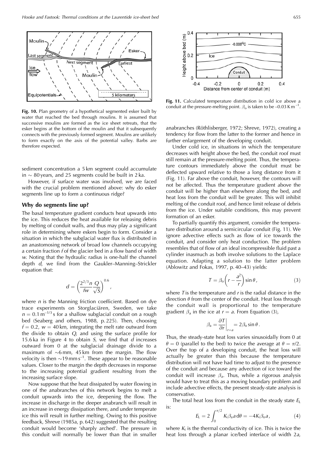

Fig. 10. Plan geometry of a hypothetical segmented esker built by water that reached the bed through moulins. It is assumed that successive moulins are formed as the ice sheet retreats, that the esker begins at the bottom of the moulin and that it subsequently connects with the previously formed segment. Moulins are unlikely to form exactly on the axis of the potential valley. Barbs are therefore expected.

sediment concentration a 5 km segment could accumulate in  $\sim$  80 years, and 25 segments could be built in 2 ka.

However, if surface water was involved, we are faced with the crucial problem mentioned above: why do esker segments line up to form a continuous ridge?

#### Why do segments line up?

The basal temperature gradient conducts heat upwards into the ice. This reduces the heat available for releasing debris by melting of conduit walls, and thus may play a significant role in determining where eskers begin to form. Consider a situation in which the subglacial water flux is distributed in an anastomosing network of broad low channels occupying a certain fraction  $f$  of the glacier bed in a flow band of width w. Noting that the hydraulic radius is one-half the channel depth d, we find from the Gaukler-Manning-Strickler equation that:

$$
d = \left(\frac{2^{2/3}n}{\hbar v}\frac{Q}{\sqrt{S}}\right)^{0.6},
$$

where  $n$  is the Manning friction coefficient. Based on dye trace experiments on Storglaciären, Sweden, we take  $n = 0.1$  m<sup>-1/3</sup> s for a shallow subglacial conduit on a rough bed (Seaberg and others, 1988, p. 225). Then, choosing  $f = 0.2$ ,  $w = 40$  km, integrating the melt rate outward from the divide to obtain  $Q$ , and using the surface profile for 15.6 ka in Figure 4 to obtain  $S$ , we find that  $d$  increases outward from 0 at the subglacial drainage divide to a maximum of  $\sim$ 6 mm, 45 km from the margin. The flow velocity is then  $\sim$ 19 mm s<sup>-1</sup>. These appear to be reasonable values. Closer to the margin the depth decreases in response to the increasing potential gradient resulting from the increasing surface slope.

Now suppose that the heat dissipated by water flowing in one of the anabranches of this network begins to melt a conduit upwards into the ice, deepening the flow. The increase in discharge in the deeper anabranch will result in an increase in energy dissipation there, and under temperate ice this will result in further melting. Owing to this positive feedback, Shreve (1985a, p. 642) suggested that the resulting conduit would become 'sharply arched'. The pressure in this conduit will normally be lower than that in smaller



Fig. 11. Calculated temperature distribution in cold ice above a conduit at the pressure-melting point.  $\beta_0$  is taken to be -0.03 K m<sup>-1</sup>.

anabranches (Röthlisberger, 1972; Shreve, 1972), creating a tendency for flow from the latter to the former and hence in further enlargement of the developing conduit.

Under cold ice, in situations in which the temperature decreases with height above the bed, the conduit roof must still remain at the pressure-melting point. Thus, the temperature contours immediately above the conduit must be deflected upward relative to those a long distance from it (Fig. 11). Far above the conduit, however, the contours will not be affected. Thus the temperature gradient above the conduit will be higher than elsewhere along the bed, and heat loss from the conduit will be greater. This will inhibit melting of the conduit roof, and hence limit release of debris from the ice. Under suitable conditions, this may prevent formation of an esker.

To partially quantify this argument, consider the temperature distribution around a semicircular conduit (Fig. 11). We ignore advective effects such as flow of ice towards the conduit, and consider only heat conduction. The problem resembles that of flow of an ideal incompressible fluid past a cylinder inasmuch as both involve solutions to the Laplace equation. Adapting a solution to the latter problem (Ablowitz and Fokas, 1997, p. 40-43) yields:

$$
T = \beta_0 \left( r - \frac{a^2}{r} \right) \sin \theta, \tag{3}
$$

where  $T$  is the temperature and  $r$  is the radial distance in the direction  $\theta$  from the center of the conduit. Heat loss through the conduit wall is proportional to the temperature gradient  $\beta_a$  in the ice at  $r = a$ . From Equation (3),

$$
\beta_{\rm a} = \frac{\partial T}{\partial r}\bigg|_{r=a} = 2\beta_{\rm o}\sin\theta
$$

Thus, the steady-state heat loss varies sinusoidally from 0 at  $\theta = 0$  (parallel to the bed) to twice the average at  $\theta = \pi/2$ . Over the top of a developing conduit, the heat loss will actually be greater than this because the temperature distribution will not have had time to adjust to the presence of the conduit and because any advection of ice toward the conduit will increase  $\beta_a$ . Thus, while a rigorous analysis would have to treat this as a moving boundary problem and include advective effects, the present steady-state analysis is conservative.

The total heat loss from the conduit in the steady state  $E_L$ is:

$$
E_{\rm L} = 2 \int_0^{\pi/2} K_{\rm i} \beta_{\rm a} a \, d\theta = -4 K_{\rm i} \beta_{\rm o} a \,, \tag{4}
$$

where  $K_i$  is the thermal conductivity of ice. This is twice the heat loss through a planar ice/bed interface of width 2a,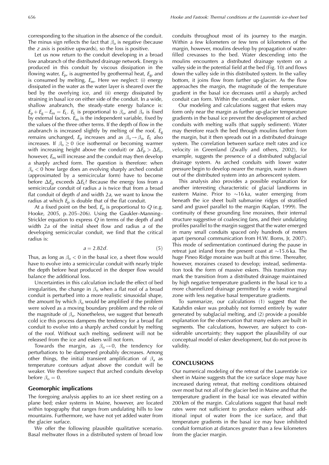corresponding to the situation in the absence of the conduit. The minus sign reflects the fact that  $\beta_0$  is negative (because the z axis is positive upwards), so the loss is positive.

Let us now return to the conduit developing in a broad low anabranch of the distributed drainage network. Energy is produced in this conduit by viscous dissipation in the flowing water,  $E_p$ , is augmented by geothermal heat,  $E_g$ , and is consumed by melting,  $E_m$ . Here we neglect: (i) energy dissipated in the water as the water layer is sheared over the bed by the overlying ice, and (ii) energy dissipated by straining in basal ice on either side of the conduit. In a wide, shallow anabranch, the steady-state energy balance is:  $E_p + E_g - E_m = E_l$ .  $E_l$  is proportional to  $\beta_o$ , and  $\beta_o$  is fixed by external factors.  $E_m$  is the independent variable, fixed by the values of the three other terms. If the depth of flow in the anabranch is increased slightly by melting of the roof,  $E_{\rm g}$ remains unchanged,  $E_p$  increases and as  $\beta_o \rightarrow \beta_a$ ,  $E_l$  also increases. If  $\beta_0 \geq 0$  (ice isothermal or becoming warmer with increasing height above the conduit) or  $\Delta E_p > \Delta E_L$ , however,  $E_m$  will increase and the conduit may then develop a sharply arched form. The question is therefore: when  $\beta_{0}$  < 0 how large does an evolving sharply arched conduit (approximated by a semicircular form) have to become before  $\Delta E_{\rm p}$  exceeds  $\Delta E_{\rm L}$ ? Because the energy loss from a semicircular conduit of radius a is twice that from a broad flat conduit of depth  $d$  and width  $2a$ , we want to know the radius at which  $E_p$  is double that of the flat conduit.

At a fixed point on the bed,  $E_p$  is proportional to Q (e.g. Hooke, 2005, p. 205-206). Using the Gaukler-Manning-Strickler equation to express  $Q$  in terms of the depth  $d$  and width 2a of the initial sheet flow and radius a of the developing semicircular conduit, we find that the critical radius is:

$$
a = 2.82d.\t\t(5)
$$

Thus, as long as  $\beta_0 < 0$  in the basal ice, a sheet flow would have to evolve into a semicircular conduit with nearly triple the depth before heat produced in the deeper flow would balance the additional loss.

Uncertainties in this calculation include the effect of bed irregularities, the change in  $\beta_0$  when a flat roof of a broad conduit is perturbed into a more realistic sinusoidal shape, the amount by which  $\beta_0$  would be amplified if the problem were solved as a moving boundary problem and the role of the magnitude of  $\beta_o$ . Nonetheless, we suggest that beneath cold ice this process dampens the tendency for a broad flat conduit to evolve into a sharply arched conduit by melting of the roof. Without such melting, sediment will not be released from the ice and eskers will not form.

Towards the margin, as  $\beta_0 \rightarrow 0$ , the tendency for perturbations to be dampened probably decreases. Among other things, the initial transient amplification of  $\beta_a$  as temperature contours adjust above the conduit will be weaker. We therefore suspect that arched conduits develop before  $\beta_{o} = 0$ .

#### **Geomorphic implications**

The foregoing analysis applies to an ice sheet resting on a plane bed; esker systems in Maine, however, are located within topography that ranges from undulating hills to low mountains. Furthermore, we have not yet added water from the glacier surface.

We offer the following plausible qualitative scenario. Basal meltwater flows in a distributed system of broad low

conduits throughout most of its journey to the margin. Within a few kilometers or few tens of kilometers of the margin, however, moulins develop by propagation of waterfilled crevasses to the bed. Water descending into the moulins encounters a distributed drainage system on a valley side in the potential field at the bed (Fig. 10) and flows down the valley side in this distributed system. In the valley bottom, it joins flow from further up-glacier. As the flow approaches the margin, the magnitude of the temperature gradient in the basal ice decreases until a sharply arched conduit can form. Within the conduit, an esker forms.

Our modeling and calculations suggest that eskers may form only near the margin as further up-glacier temperature gradients in the basal ice prevent the development of arched conduits with melting walls (that supply sediment). Water may therefore reach the bed through moulins further from the margin, but it then spreads out in a distributed drainage system. The correlation between surface melt rates and ice velocity in Greenland (Zwally and others, 2002), for example, suggests the presence of a distributed subglacial drainage system. As arched conduits with lower water pressure begin to develop nearer the margin, water is drawn out of the distributed system into an arborescent system.

This analysis also provides a possible explanation for another interesting characteristic of glacial landforms in eastern Maine. Prior to  $\sim$ 16 ka, water emerging from beneath the ice sheet built submarine ridges of stratified sand and gravel parallel to the margin (Kaplan, 1999). The continuity of these grounding line moraines, their internal structure suggestive of coalescing fans, and their undulating profiles parallel to the margin suggest that the water emerged in many small conduits spaced only hundreds of meters apart (personal communication from H.W. Borns, Jr, 2007). This mode of sedimentation continued during the pause in retreat just inland from the present coast at  $\sim$ 15.6 ka. The huge Pineo Ridge moraine was built at this time. Thereafter, however, moraines ceased to develop; instead, sedimentation took the form of massive eskers. This transition may mark the transition from a distributed drainage maintained by high negative temperature gradients in the basal ice to a more channelized drainage permitted by a wider marginal zone with less negative basal temperature gradients.

To summarize, our calculations (1) suggest that the Katahdin esker was probably not formed entirely by water generated by subglacial melting, and (2) provide a possible explanation for the observation that many eskers are built in segments. The calculations, however, are subject to considerable uncertainty; they support the plausibility of our conceptual model of esker development, but do not prove its validity.

#### **CONCLUSIONS**

Our numerical modeling of the retreat of the Laurentide ice sheet in Maine suggests that the ice surface slope may have increased during retreat, that melting conditions obtained over most but not all of the glacier bed in Maine and that the temperature gradient in the basal ice was elevated within 200 km of the margin. Calculations suggest that basal melt rates were not sufficient to produce eskers without additional input of water from the ice surface, and that temperature gradients in the basal ice may have inhibited conduit formation at distances greater than a few kilometers from the glacier margin.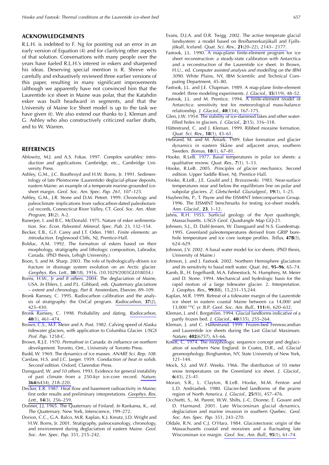#### **ACKNOWLEDGEMENTS**

R.L.H. is indebted to F. Ng for pointing out an error in an early version of Equation (4) and for clarifying other aspects of that solution. Conversations with many people over the years have fueled R.L.H.'s interest in eskers and sharpened his ideas. Deserving special mention is R. Shreve who carefully and exhaustively reviewed three earlier versions of this paper, resulting in many significant improvements (although we apparently have not convinced him that the Laurentide ice sheet in Maine was polar, that the Katahdin esker was built headward in segments, and that the University of Maine Ice Sheet model is up to the task we have given it). We also extend our thanks to J. Kleman and G. Ashley who also constructively criticized earlier drafts, and to W. Warren.

#### **REFERENCES**

- Ablowitz, M.J. and A.S. Fokas. 1997. Complex variables: introduction and applications. Cambridge, etc., Cambridge University Press.
- Ashley, G.M., J.C. Boothroyd and H.W. Borns, Jr. 1991. Sedimentology of late Pleistocene (Laurentide) deglacial-phase deposits, eastern Maine: an example of a temperate marine-grounded icesheet margin. Geol. Soc. Am. Spec. Pap. 261, 107-125.
- Ashley, G.M., J.R. Stone and D.M. Peteet. 1999. Chronology and paleoclimate implications from radiocarbon-dated paleobotanical records, Connecticut River Valley, CT. Geol. Soc. Am. Abstr. Program, 31(2). A-2.
- Banerjee, I. and B.C. McDonald. 1975. Nature of esker sedimentation. Soc. Econ. Paleontol. Mineral. Spec. Pub. 23, 132–154.
- Becker, E.B., G.F. Carey and J.T. Oden. 1981. Finite elements: an introduction. Englewood Cliffs, NJ, Prentice-Hall.
- Bolduc, A.M. 1992. The formation of eskers based on their morphology, stratigraphy and lithologic composition, Labrador, Canada. (PhD thesis, Lehigh University.)
- Boon, S. and M. Sharp. 2003. The role of hydrologically-driven ice fracture in drainage system evolution on an Arctic glacier. Geophys. Res. Lett., 30(18), 1916. (10.1029/2003GL018034.)
- Borns, H.W., Jr and 8 others. 2004. The deglaciation of Maine, USA. In Ehlers, J. and P.L. Gibbard, eds. Quaternary glaciations - extent and chronology, Part II. Amsterdam, Elsevier, 89-109.
- Bronk Ramsey, C. 1995. Radiocarbon calibration and the analysis of stratigraphy: the OxCal program. Radiocarbon, 37(2), 425-430.
- Bronk Ramsey, C. 1998. Probability and dating. Radiocarbon,  $40(1)$ ,  $461-474$ .
- Brown, C.S., M.F. Meier and A. Post. 1982. Calving speed of Alaska tidewater glaciers, with application to Columbia Glacier. USGS Prof. Pap. 1258-C.
- Brown, R.J.E. 1970. Permafrost in Canada: its influence on northern development. Toronto, Ont., University of Toronto Press.
- Budd, W. 1969. The dynamics of ice masses. ANARE Sci. Rep. 108. Carslaw, H.S. and J.C. Jaeger. 1959. Conduction of heat in solids. Second edition. Oxford, Clarendon Press.
- Dansgaard, W. and 10 others. 1993. Evidence for general instability of past climate from a 250-kyr ice-core record. Nature, 364(6434), 218-220.
- Decker, E.R. 1987. Heat flow and basement radioactivity in Maine; first order results and preliminary interpretations. Geophys. Res. Lett., 14(3), 256-259.
- Donner, J.J. 1965. The Quaternary of Finland. In Rankama, K., ed. The Quaternary. New York, Interscience, 199-272.
- Dorion, C.C., G.A. Balco, M.R. Kaplan, K.J. Kreutz, J.D. Wright and H.W. Borns, Jr. 2001. Stratigraphy, paleoceanology, chronology, and environment during deglaciation of eastern Maine. Geol. Soc. Am. Spec. Pap. 351, 215-242.
- Evans, D.J.A. and D.R. Twigg. 2002. The active temperate glacial landsystem: a model based on Breiðamerkurjökull and Fjallsjökull, Iceland. Quat. Sci. Rev., 21(20-22), 2143-2177.
- Fastook, J.L. 1990. A map-plane finite-element program for ice sheet reconstruction: a steady-state calibration with Antarctica and a reconstruction of the Laurentide ice sheet. In Brown, H.U., ed. Computer assisted analysis and modelling on the IBM 3090. White Plains, NY, IBM Scientific and Technical Computing Department, 45-80.
- Fastook, J.L. and J.E. Chapman. 1989. A map-plane finite-element model: three modeling experiments. J. Glaciol., 35(119), 48-52.
- Fastook, J.L. and M. Prentice. 1994. A finite-element model of Antarctica: sensitivity test for meteorological mass-balance relationship. J. Glaciol., 40(134), 167-175.
- Glen, J.W. 1954. The stability of ice-dammed lakes and other waterfilled holes in glaciers. J. Glaciol., 2(15), 316-318.
- Hättestrand, C. and J. Kleman. 1999. Ribbed moraine formation. Quat. Sci. Rev., 18(1), 43-61.
- Hebrand, M. and M. Amark. 1989. Esker formation and glacier dynamics in eastern Skåne and adjacent areas, southern Sweden. Boreas, 18(1), 67-81.
- Hooke, R.LeB. 1977. Basal temperatures in polar ice sheets: a qualitative review. Quat. Res., 7(1), 1-13.
- Hooke, R.LeB. 2005. Principles of glacier mechanics. Second edition. Upper Saddle River, NJ, Prentice Hall.
- Hooke, R.LeB., J.E. Gould and J. Brzozowski. 1983. Near-surface temperatures near and below the equilibrium line on polar and subpolar glaciers. Z. Gletscherkd. Glazialgeol., 19(1), 1-25.
- Huybrechts, P., T. Payne and the EISMINT Intercomparison Group. 1996. The EISMINT benchmarks for testing ice-sheet models. Ann. Glaciol., 23, 1-12.
- Jahns, R.H. 1953. Surficial geology of the Ayer quadrangle, Massachusetts. USGS Geol. Quadrangle Map GQ-21.
- Johnsen, S.J., D. Dahl-Jensen, W. Dansgaard and N.S. Gundestrup. 1995. Greenland paleotemperatures derived from GRIP borehole temperature and ice core isotope profiles. Tellus, 47B(5),  $624 - 629.$
- Johnson, J.V. 2002. A basal water model for ice sheets. (PhD thesis, University of Maine.)
- Johnson, J. and J. Fastook. 2002. Northern Hemisphere glaciation and its sensitivity to basal melt water. Quat. Int., 95-96, 65-74.
- Kamb, B., H. Engelhardt, M.A. Fahnestock, N. Humphrey, M. Meier and D. Stone. 1994. Mechanical and hydrologic basis for the rapid motion of a large tidewater glacier. 2. Interpretation. J. Geophys. Res., 99(B8), 15,231-15,244.
- Kaplan, M.R. 1999. Retreat of a tidewater margin of the Laurentide ice sheet in eastern coastal Maine between ca 14,000 and 13,000<sup>14</sup>C yr. B.P. Geol. Soc. Am. Bull., 111(4), 620-632.
- Kleman, J. and I. Borgström. 1994. Glacial landforms indicative of a partly frozen bed. J. Glaciol., 40(135), 255-264.
- Kleman, J. and C. Hättestrand. 1999. Frozen-bed Fennoscandian and Laurentide ice sheets during the Last Glacial Maximum. Nature, 402(6757), 63-66.
- Koteff, C. 1974. The morphologic sequence concept and deglaciation of southern New England. In Coates, D.R., ed. Glacial geomorphology. Binghamton, NY, State University of New York,  $121 - 144$
- Mock, S.J. and W.F. Weeks. 1966. The distribution of 10 meter snow temperatures on the Greenland ice sheet. J. Glaciol.,  $6(43)$ , 23-41.
- Moran, S.R., L. Clayton, R.LeB. Hooke, M.M. Fenton and L.D. Andriashek. 1980. Glacier-bed landforms of the prairie region of North America. *J. Glaciol.*, 25(93), 457–476.
- Occhietti, S., M. Parent, W.W. Shilts, J.-C. Dionne, É. Govare and D. Harmand. 2001. Late Wisconsinan glacial dynamics, deglaciation and marine invasion in southern Quebec. Geol. Soc. Am. Spec. Pap. 351, 243-270.
- Oldale, R.N. and C.J. O'Hara. 1984. Glaciotectonic origin of the Massachusetts coastal end moraines and a fluctuating late Wisconsinan ice margin. Geol. Soc. Am. Bull., 95(1), 61-74.